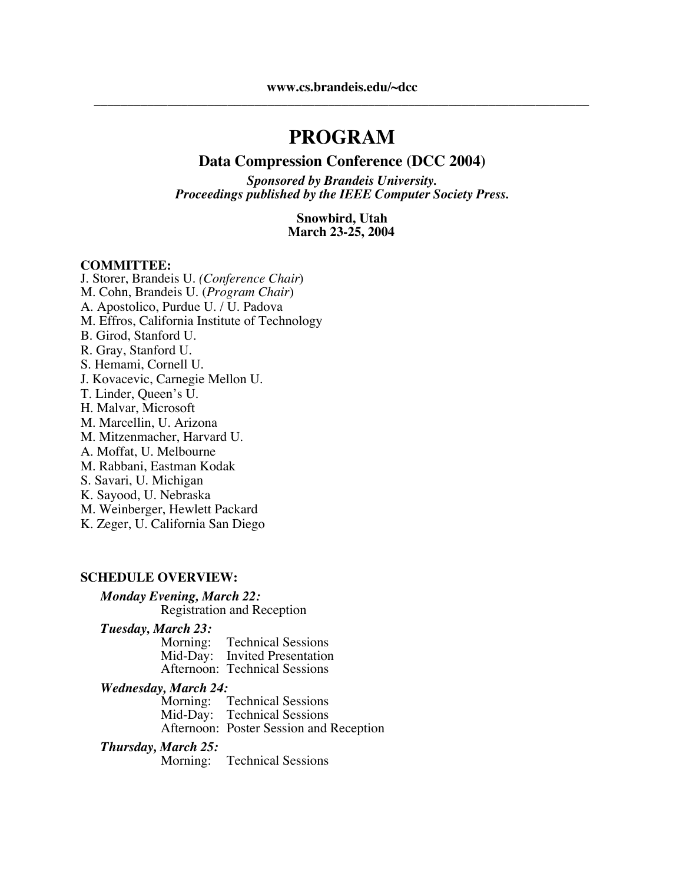## **PROGRAM**

#### **Data Compression Conference (DCC 2004)**

*Sponsored by Brandeis University. Proceedings published by the IEEE Computer Society Press.*

> **Snowbird, Utah March 23-25, 2004**

#### **COMMITTEE:**

J. Storer, Brandeis U. *(Conference Chair*) M. Cohn, Brandeis U. (*Program Chair*) A. Apostolico, Purdue U. / U. Padova M. Effros, California Institute of Technology B. Girod, Stanford U. R. Gray, Stanford U. S. Hemami, Cornell U. J. Kovacevic, Carnegie Mellon U. T. Linder, Queen's U. H. Malvar, Microsoft M. Marcellin, U. Arizona M. Mitzenmacher, Harvard U. A. Moffat, U. Melbourne M. Rabbani, Eastman Kodak S. Savari, U. Michigan K. Sayood, U. Nebraska M. Weinberger, Hewlett Packard K. Zeger, U. California San Diego

#### **SCHEDULE OVERVIEW:**

#### *Monday Evening, March 22:*

Registration and Reception

*Tuesday, March 23:*

| Morning: | <b>Technical Sessions</b>     |
|----------|-------------------------------|
| Mid-Day: | <b>Invited Presentation</b>   |
|          | Afternoon: Technical Sessions |

#### *Wednesday, March 24:*

Morning: Technical Sessions Mid-Day: Technical Sessions Afternoon: Poster Session and Reception

#### *Thursday, March 25:*

Morning: Technical Sessions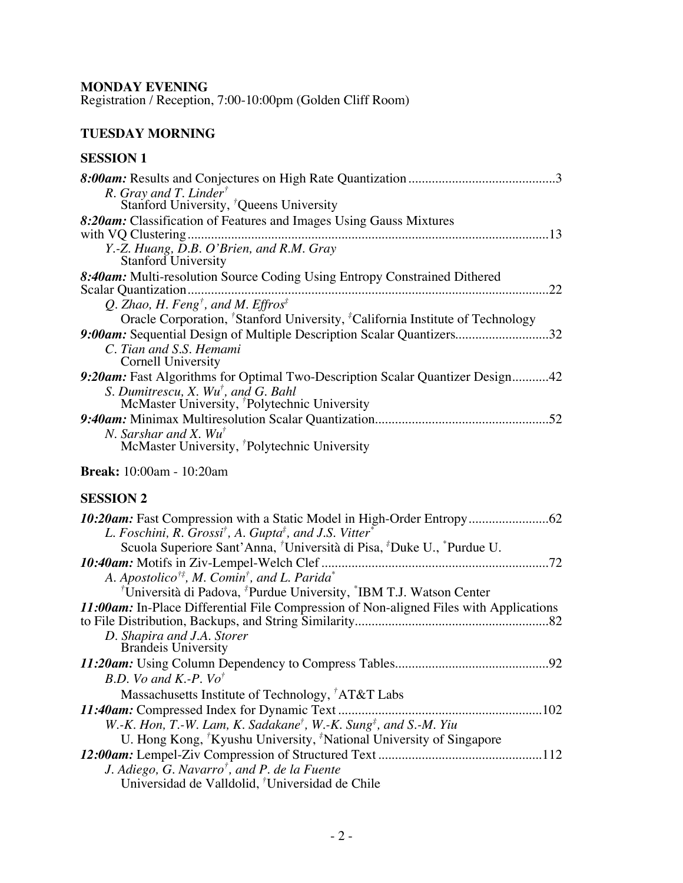### **MONDAY EVENING**

Registration / Reception, 7:00-10:00pm (Golden Cliff Room)

### **TUESDAY MORNING**

### **SESSION 1**

| R. Gray and T. Linder <sup>†</sup>                                                                                                                                                      |
|-----------------------------------------------------------------------------------------------------------------------------------------------------------------------------------------|
| Stanford University, <sup>†</sup> Queens University                                                                                                                                     |
| 8:20am: Classification of Features and Images Using Gauss Mixtures                                                                                                                      |
|                                                                                                                                                                                         |
| Y.-Z. Huang, $\overline{D}$ .B. O'Brien, and R.M. Gray<br>Stanford University                                                                                                           |
| 8:40am: Multi-resolution Source Coding Using Entropy Constrained Dithered                                                                                                               |
|                                                                                                                                                                                         |
| Q. Zhao, H. Feng <sup>†</sup> , and M. Effros <sup>‡</sup>                                                                                                                              |
| Oracle Corporation, <sup>†</sup> Stanford University, <sup>‡</sup> California Institute of Technology                                                                                   |
| 9:00am: Sequential Design of Multiple Description Scalar Quantizers32                                                                                                                   |
| C. Tian and S.S. Hemami<br><b>Cornell University</b>                                                                                                                                    |
| 9:20am: Fast Algorithms for Optimal Two-Description Scalar Quantizer Design42                                                                                                           |
| S. Dumitrescu, X. Wu <sup>†</sup> , and G. Bahl                                                                                                                                         |
| McMaster University, <sup><i>†</i></sup> Polytechnic University                                                                                                                         |
|                                                                                                                                                                                         |
| N. Sarshar and X. $Wu^{\dagger}$                                                                                                                                                        |
| McMaster University, <sup><i>†</i></sup> Polytechnic University                                                                                                                         |
| <b>Break:</b> 10:00am - 10:20am                                                                                                                                                         |
| <b>SESSION 2</b>                                                                                                                                                                        |
|                                                                                                                                                                                         |
| L. Foschini, R. Grossi <sup>†</sup> , A. Gupta <sup>‡</sup> , and J.S. Vitter <sup>*</sup>                                                                                              |
| Scuola Superiore Sant'Anna, <sup>†</sup> Università di Pisa, <sup>‡</sup> Duke U., <sup>*</sup> Purdue U.                                                                               |
|                                                                                                                                                                                         |
| A. Apostolico <sup>†‡</sup> , M. Comin <sup>†</sup> , and L. Parida <sup>*</sup>                                                                                                        |
| <sup>†</sup> Università di Padova, <sup><i>†</i></sup> Purdue University, <sup><i>†</i></sup> IBM T.J. Watson Center                                                                    |
| 11:00am: In-Place Differential File Compression of Non-aligned Files with Applications                                                                                                  |
|                                                                                                                                                                                         |
| D. Shapira and J.A. Storer<br><b>Brandeis University</b>                                                                                                                                |
|                                                                                                                                                                                         |
|                                                                                                                                                                                         |
|                                                                                                                                                                                         |
| B.D. Vo and K.-P. Vo <sup>†</sup>                                                                                                                                                       |
| Massachusetts Institute of Technology, <sup>†</sup> AT&T Labs                                                                                                                           |
|                                                                                                                                                                                         |
| W.-K. Hon, T.-W. Lam, K. Sadakane <sup>†</sup> , W.-K. Sung <sup>‡</sup> , and S.-M. Yiu<br>U. Hong Kong, <sup>†</sup> Kyushu University, <sup>‡</sup> National University of Singapore |

| J. Adiego, G. Navarro <sup>†</sup> , and P. de la Fuente |  |
|----------------------------------------------------------|--|

| Universidad de Valldolid, <sup>†</sup> Universidad de Chile |  |
|-------------------------------------------------------------|--|
|-------------------------------------------------------------|--|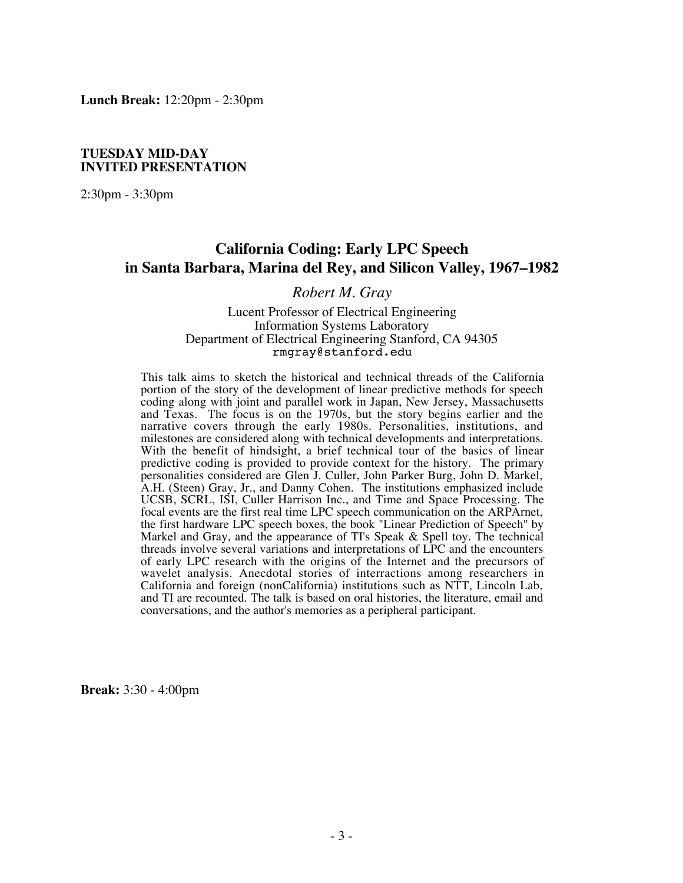**Lunch Break:** 12:20pm - 2:30pm

#### **TUESDAY MID-DAY INVITED PRESENTATION**

2:30pm - 3:30pm

### **California Coding: Early LPC Speech in Santa Barbara, Marina del Rey, and Silicon Valley, 1967–1982**

#### *Robert M. Gray*

#### Lucent Professor of Electrical Engineering Information Systems Laboratory Department of Electrical Engineering Stanford, CA 94305 rmgray@stanford.edu

This talk aims to sketch the historical and technical threads of the California portion of the story of the development of linear predictive methods for speech coding along with joint and parallel work in Japan, New Jersey, Massachusetts and Texas. The focus is on the 1970s, but the story begins earlier and the narrative covers through the early 1980s. Personalities, institutions, and milestones are considered along with technical developments and interpretations. With the benefit of hindsight, a brief technical tour of the basics of linear predictive coding is provided to provide context for the history. The primary personalities considered are Glen J. Culler, John Parker Burg, John D. Markel, A.H. (Steen) Gray, Jr., and Danny Cohen. The institutions emphasized include UCSB, SCRL, ISI, Culler Harrison Inc., and Time and Space Processing. The focal events are the first real time LPC speech communication on the ARPArnet, the first hardware LPC speech boxes, the book "Linear Prediction of Speech'' by Markel and Gray, and the appearance of TI's Speak & Spell toy. The technical threads involve several variations and interpretations of LPC and the encounters of early LPC research with the origins of the Internet and the precursors of wavelet analysis. Anecdotal stories of interractions among researchers in California and foreign (nonCalifornia) institutions such as NTT, Lincoln Lab, and TI are recounted. The talk is based on oral histories, the literature, email and conversations, and the author's memories as a peripheral participant.

**Break:** 3:30 - 4:00pm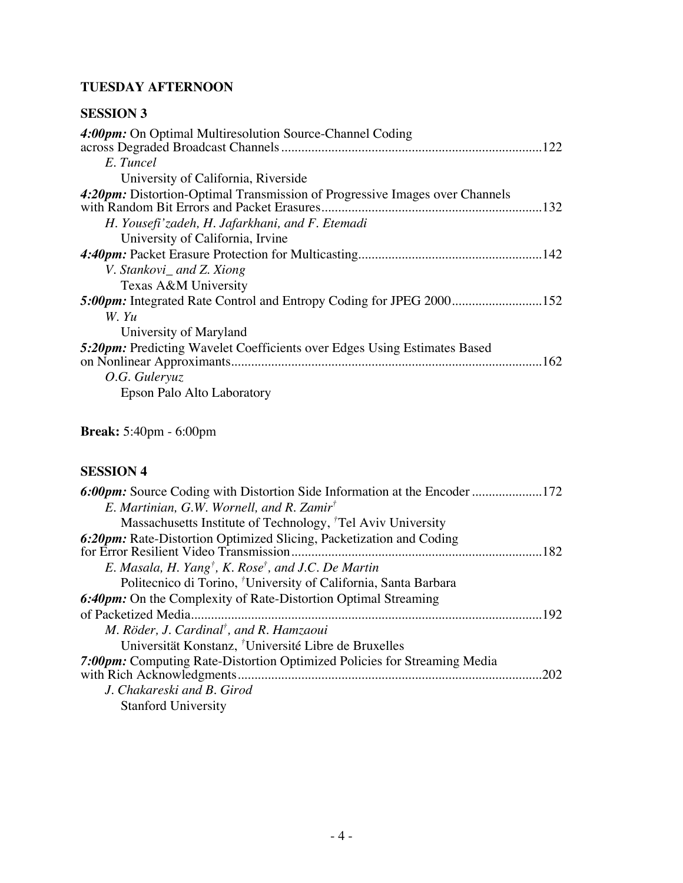### **TUESDAY AFTERNOON**

### **SESSION 3**

| 4:00pm: On Optimal Multiresolution Source-Channel Coding<br>E. Tuncel                                                      |
|----------------------------------------------------------------------------------------------------------------------------|
| University of California, Riverside                                                                                        |
| 4:20pm: Distortion-Optimal Transmission of Progressive Images over Channels<br>with Random Bit Errors and Packet Erasures. |
| H. Yousefi'zadeh, H. Jafarkhani, and F. Etemadi                                                                            |
| University of California, Irvine                                                                                           |
|                                                                                                                            |
| V. Stankovi_ and Z. Xiong                                                                                                  |
| Texas A&M University                                                                                                       |
|                                                                                                                            |
| W. Yu                                                                                                                      |
| University of Maryland                                                                                                     |
| <b>5:20pm:</b> Predicting Wavelet Coefficients over Edges Using Estimates Based<br>O.G. Guleryuz                           |
| Epson Palo Alto Laboratory                                                                                                 |

**Break:** 5:40pm - 6:00pm

### **SESSION 4**

| 6:00pm: Source Coding with Distortion Side Information at the Encoder 172   |
|-----------------------------------------------------------------------------|
| E. Martinian, G.W. Wornell, and R. Zamir <sup>†</sup>                       |
| Massachusetts Institute of Technology, <sup>†</sup> Tel Aviv University     |
| 6:20pm: Rate-Distortion Optimized Slicing, Packetization and Coding         |
|                                                                             |
| E. Masala, H. Yang <sup>†</sup> , K. Rose <sup>†</sup> , and J.C. De Martin |
| Politecnico di Torino, <sup>†</sup> University of California, Santa Barbara |
| <b>6:40pm:</b> On the Complexity of Rate-Distortion Optimal Streaming       |
| of Packetized Media.<br>192                                                 |
| M. Röder, J. Cardinal <sup>†</sup> , and R. Hamzaoui                        |
| Universität Konstanz, <sup>†</sup> Université Libre de Bruxelles            |
| 7:00pm: Computing Rate-Distortion Optimized Policies for Streaming Media    |
| 202                                                                         |
| J. Chakareski and B. Girod                                                  |
| <b>Stanford University</b>                                                  |
|                                                                             |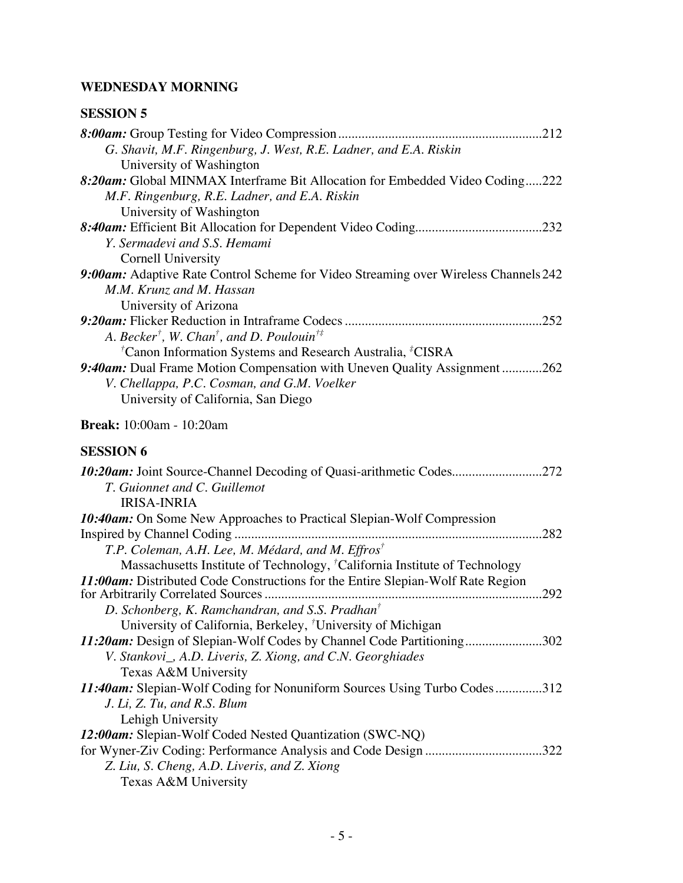### **WEDNESDAY MORNING**

### **SESSION 5**

| G. Shavit, M.F. Ringenburg, J. West, R.E. Ladner, and E.A. Riskin                      |
|----------------------------------------------------------------------------------------|
| University of Washington                                                               |
| 8:20am: Global MINMAX Interframe Bit Allocation for Embedded Video Coding222           |
| M.F. Ringenburg, R.E. Ladner, and E.A. Riskin                                          |
| University of Washington                                                               |
|                                                                                        |
| Y. Sermadevi and S.S. Hemami                                                           |
| Cornell University                                                                     |
| 9:00am: Adaptive Rate Control Scheme for Video Streaming over Wireless Channels 242    |
| M.M. Krunz and M. Hassan                                                               |
| University of Arizona                                                                  |
|                                                                                        |
| A. Becker <sup>†</sup> , W. Chan <sup>†</sup> , and D. Poulouin <sup>†‡</sup>          |
| <sup>†</sup> Canon Information Systems and Research Australia, <sup>‡</sup> CISRA      |
| 9:40am: Dual Frame Motion Compensation with Uneven Quality Assignment 262              |
| V. Chellappa, P.C. Cosman, and G.M. Voelker                                            |
| University of California, San Diego                                                    |
| <b>Break:</b> 10:00am - 10:20am                                                        |
| <b>SESSION 6</b>                                                                       |
|                                                                                        |
| T. Guionnet and C. Guillemot                                                           |
| <b>IRISA-INRIA</b>                                                                     |
| 10:40am: On Some New Approaches to Practical Slepian-Wolf Compression                  |
|                                                                                        |
| T.P. Coleman, A.H. Lee, M. Médard, and M. Effros <sup>†</sup>                          |
| Massachusetts Institute of Technology, <sup>†</sup> California Institute of Technology |
| 11:00am: Distributed Code Constructions for the Entire Slepian-Wolf Rate Region        |
|                                                                                        |
| D. Schonberg, K. Ramchandran, and S.S. Pradhan <sup>†</sup>                            |
| University of California, Berkeley, <sup>†</sup> University of Michigan                |
| 11:20am: Design of Slepian-Wolf Codes by Channel Code Partitioning302                  |
| V. Stankovi <sub>,</sub> A.D. Liveris, Z. Xiong, and C.N. Georghiades                  |
| Texas A&M University                                                                   |
| 11:40am: Slepian-Wolf Coding for Nonuniform Sources Using Turbo Codes312               |
| J. Li, Z. Tu, and R.S. Blum                                                            |
| Lehigh University                                                                      |
| 12:00am: Slepian-Wolf Coded Nested Quantization (SWC-NQ)                               |
| for Wyner-Ziv Coding: Performance Analysis and Code Design 322                         |
| Z. Liu, S. Cheng, A.D. Liveris, and Z. Xiong                                           |

Texas A&M University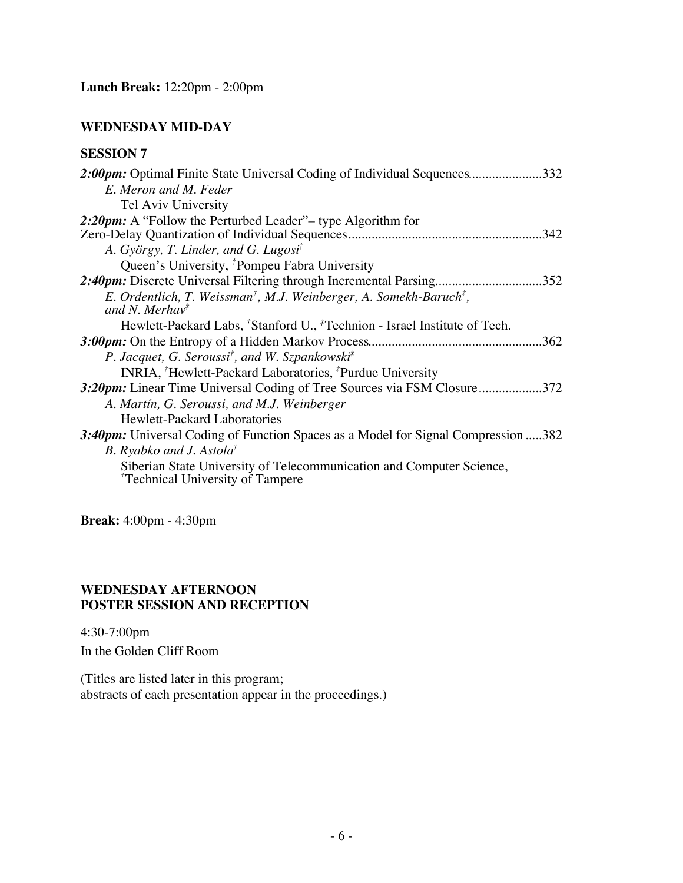### **WEDNESDAY MID-DAY**

### **SESSION 7**

| 2:00pm: Optimal Finite State Universal Coding of Individual Sequences<br>.332              |
|--------------------------------------------------------------------------------------------|
| E. Meron and M. Feder                                                                      |
| Tel Aviv University                                                                        |
| 2:20pm: A "Follow the Perturbed Leader" – type Algorithm for                               |
|                                                                                            |
| A. György, T. Linder, and G. Lugosi <sup>†</sup>                                           |
| Queen's University, <sup>†</sup> Pompeu Fabra University                                   |
| 2:40pm: Discrete Universal Filtering through Incremental Parsing<br>352                    |
| E. Ordentlich, T. Weissman <sup>†</sup> , M.J. Weinberger, A. Somekh-Baruch <sup>‡</sup> , |
| and N. Merhav <sup><math>\ddag</math></sup>                                                |
| Hewlett-Packard Labs, 'Stanford U., <sup>#</sup> Technion - Israel Institute of Tech.      |
| .362                                                                                       |
| P. Jacquet, G. Seroussi <sup>†</sup> , and W. Szpankowski <sup>‡</sup>                     |
| INRIA, <sup>†</sup> Hewlett-Packard Laboratories, <sup>‡</sup> Purdue University           |
| 3.20pm: Linear Time Universal Coding of Tree Sources via FSM Closure372                    |
| A. Martín, G. Seroussi, and M.J. Weinberger                                                |
| <b>Hewlett-Packard Laboratories</b>                                                        |
| 3:40pm: Universal Coding of Function Spaces as a Model for Signal Compression 382          |
| B. Ryabko and J. Astola <sup>†</sup>                                                       |
| Siberian State University of Telecommunication and Computer Science,                       |
| Technical University of Tampere                                                            |
|                                                                                            |

**Break:** 4:00pm - 4:30pm

### **WEDNESDAY AFTERNOON POSTER SESSION AND RECEPTION**

4:30-7:00pm In the Golden Cliff Room

(Titles are listed later in this program; abstracts of each presentation appear in the proceedings.)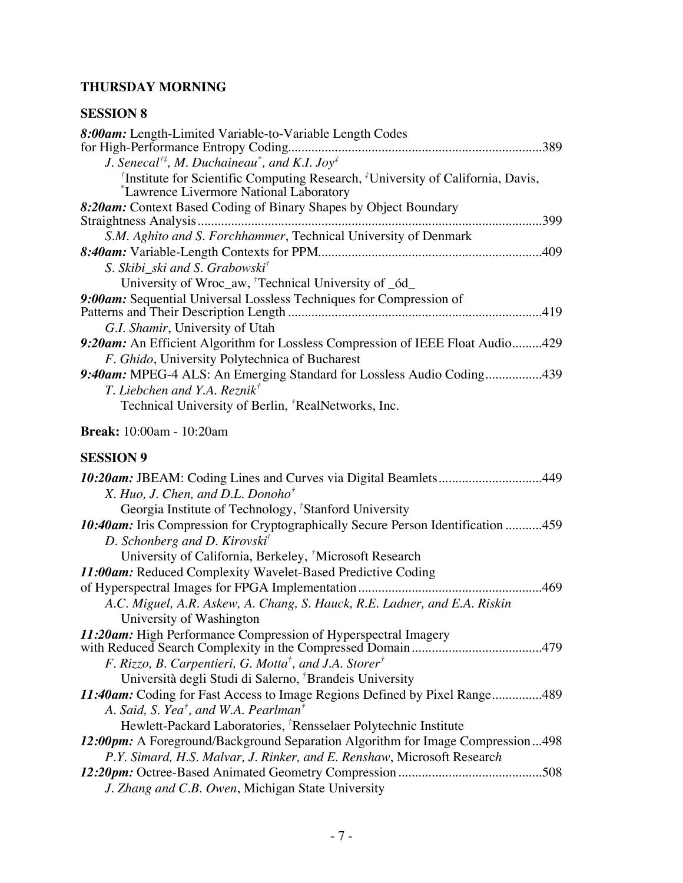### **THURSDAY MORNING**

### **SESSION 8**

| 8:00am: Length-Limited Variable-to-Variable Length Codes<br>J. Senecal <sup>†‡</sup> , M. Duchaineau <sup>*</sup> , and K.I. Joy <sup>‡</sup><br><sup>†</sup> Institute for Scientific Computing Research, <sup>‡</sup> University of California, Davis, |
|----------------------------------------------------------------------------------------------------------------------------------------------------------------------------------------------------------------------------------------------------------|
| *Lawrence Livermore National Laboratory                                                                                                                                                                                                                  |
| 8:20am: Context Based Coding of Binary Shapes by Object Boundary<br>.399<br>Straightness Analysis.                                                                                                                                                       |
| S.M. Aghito and S. Forchhammer, Technical University of Denmark                                                                                                                                                                                          |
|                                                                                                                                                                                                                                                          |
| S. Skibi_ski and S. Grabowski <sup>†</sup>                                                                                                                                                                                                               |
| University of Wroc_aw, Technical University of _6d_                                                                                                                                                                                                      |
| 9:00am: Sequential Universal Lossless Techniques for Compression of                                                                                                                                                                                      |
|                                                                                                                                                                                                                                                          |
| G.I. Shamir, University of Utah                                                                                                                                                                                                                          |
| 9:20am: An Efficient Algorithm for Lossless Compression of IEEE Float Audio429<br>F. Ghido, University Polytechnica of Bucharest                                                                                                                         |
| 9:40am: MPEG-4 ALS: An Emerging Standard for Lossless Audio Coding439<br>T. Liebchen and Y.A. Reznik <sup>†</sup><br>Technical University of Berlin, <sup>†</sup> RealNetworks, Inc.                                                                     |
|                                                                                                                                                                                                                                                          |
| <b>Break:</b> 10:00am - 10:20am                                                                                                                                                                                                                          |
| <b>SESSION 9</b>                                                                                                                                                                                                                                         |
| 10:20am: JBEAM: Coding Lines and Curves via Digital Beamlets449<br>$V$ $U_{\text{tot}}$ $I$ $C_{\text{heat}}$ and $I$ $I$ $D$ angles <sup><math>\dagger</math></sup>                                                                                     |

| <b>10:20am:</b> JBEAM: Coding Lines and Curves via Digital Beamiets449           |
|----------------------------------------------------------------------------------|
| X. Huo, J. Chen, and D.L. Donoho <sup>†</sup>                                    |
| Georgia Institute of Technology, <sup>†</sup> Stanford University                |
| 10:40am: Iris Compression for Cryptographically Secure Person Identification 459 |
| D. Schonberg and D. Kirovski <sup>†</sup>                                        |
| University of California, Berkeley, Microsoft Research                           |
| 11:00am: Reduced Complexity Wavelet-Based Predictive Coding                      |
|                                                                                  |
| A.C. Miguel, A.R. Askew, A. Chang, S. Hauck, R.E. Ladner, and E.A. Riskin        |
| University of Washington                                                         |
| 11:20am: High Performance Compression of Hyperspectral Imagery                   |
| .479                                                                             |
| F. Rizzo, B. Carpentieri, G. Motta <sup>†</sup> , and J.A. Storer <sup>†</sup>   |
| Università degli Studi di Salerno, <sup>†</sup> Brandeis University              |
| 11:40am: Coding for Fast Access to Image Regions Defined by Pixel Range489       |
| A. Said, S. Yea <sup>†</sup> , and W.A. Pearlman <sup>†</sup>                    |
| Hewlett-Packard Laboratories, <sup>†</sup> Rensselaer Polytechnic Institute      |
| 12:00pm: A Foreground/Background Separation Algorithm for Image Compression498   |
| P.Y. Simard, H.S. Malvar, J. Rinker, and E. Renshaw, Microsoft Research          |
| .508                                                                             |
| J. Zhang and C.B. Owen, Michigan State University                                |
|                                                                                  |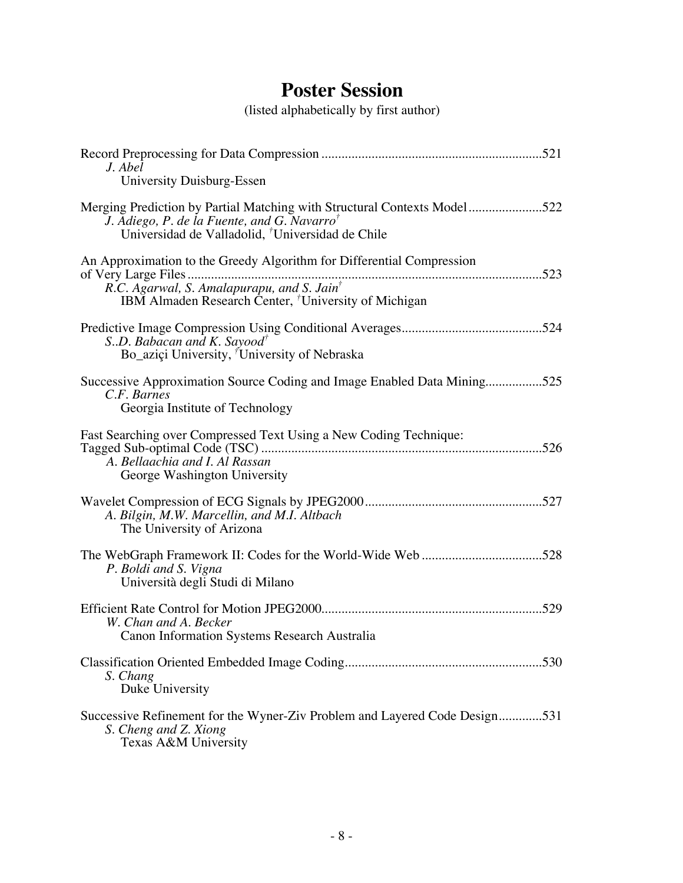# **Poster Session**

(listed alphabetically by first author)

| J. Abel<br>University Duisburg-Essen                                                                                                                                                                |
|-----------------------------------------------------------------------------------------------------------------------------------------------------------------------------------------------------|
| Merging Prediction by Partial Matching with Structural Contexts Model522<br>J. Adiego, P. de la Fuente, and G. Navarro <sup>†</sup><br>Universidad de Valladolid, <sup>†</sup> Universidad de Chile |
| An Approximation to the Greedy Algorithm for Differential Compression<br>IBM Almaden Research Center, <sup>†</sup> University of Michigan                                                           |
| SD. Babacan and K. Sayood <sup>†</sup><br>Bo_aziçi University, <sup>†</sup> University of Nebraska                                                                                                  |
| Successive Approximation Source Coding and Image Enabled Data Mining525<br>C.F. Barnes<br>Georgia Institute of Technology                                                                           |
| Fast Searching over Compressed Text Using a New Coding Technique:<br>A. Bellaachia and I. Al Rassan<br>George Washington University                                                                 |
| A. Bilgin, M.W. Marcellin, and M.I. Altbach<br>The University of Arizona                                                                                                                            |
| The WebGraph Framework II: Codes for the World-Wide Web528<br>P. Boldi and S. Vigna<br>Università degli Studi di Milano                                                                             |
| W. Chan and A. Becker<br>Canon Information Systems Research Australia                                                                                                                               |
| S. Chang<br>Duke University                                                                                                                                                                         |
| Successive Refinement for the Wyner-Ziv Problem and Layered Code Design531<br>S. Cheng and Z. Xiong<br>Texas A&M University                                                                         |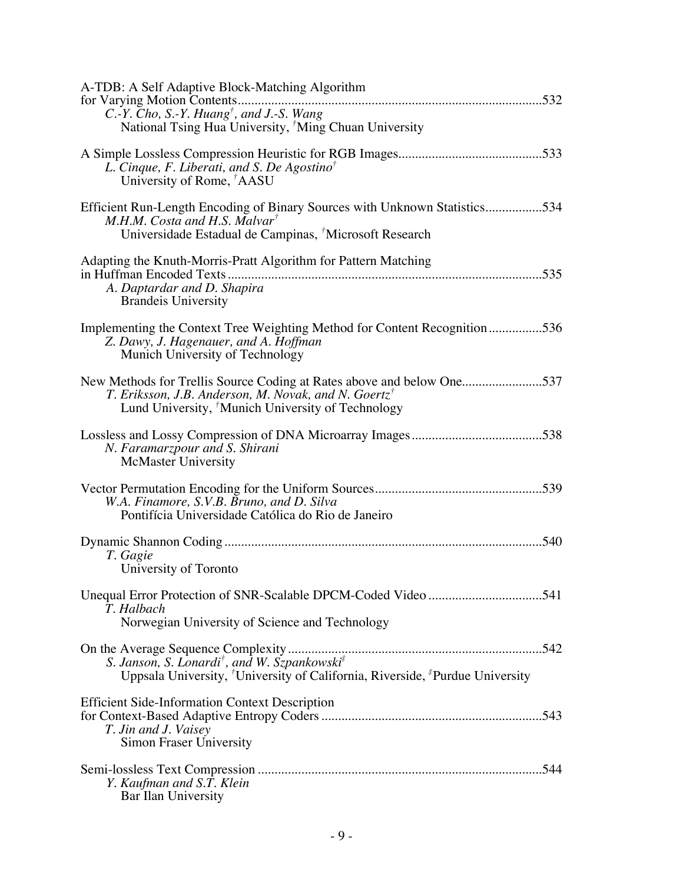| A-TDB: A Self Adaptive Block-Matching Algorithm<br>for Varying Motion Contents<br>C.-Y. Cho, S.-Y. Huang <sup>†</sup> , and J.-S. Wang<br>National Tsing Hua University, <sup>†</sup> Ming Chuan University |
|-------------------------------------------------------------------------------------------------------------------------------------------------------------------------------------------------------------|
| L. Cinque, F. Liberati, and S. De Agostino <sup>†</sup><br>University of Rome, <sup>†</sup> AASU                                                                                                            |
| Efficient Run-Length Encoding of Binary Sources with Unknown Statistics534<br>$M.H.M.$ Costa and H.S. Malvar <sup>†</sup><br>Universidade Estadual de Campinas, <sup>†</sup> Microsoft Research             |
| Adapting the Knuth-Morris-Pratt Algorithm for Pattern Matching<br>in Huffman Encoded Texts<br>A. Daptardar and D. Shapira<br><b>Brandeis University</b>                                                     |
| Implementing the Context Tree Weighting Method for Content Recognition536<br>Z. Dawy, J. Hagenauer, and A. Hoffman<br>Munich University of Technology                                                       |
| New Methods for Trellis Source Coding at Rates above and below One537<br>T. Eriksson, J.B. Anderson, M. Novak, and N. Goertz <sup>†</sup><br>Lund University, Munich University of Technology               |
| N. Faramarzpour and S. Shirani<br><b>McMaster University</b>                                                                                                                                                |
| W.A. Finamore, S.V.B. Bruno, and D. Silva<br>Pontifícia Universidade Católica do Rio de Janeiro                                                                                                             |
| 540<br>T. Gagie<br>University of Toronto                                                                                                                                                                    |
| T. Halbach<br>Norwegian University of Science and Technology                                                                                                                                                |
| Uppsala University, <sup>†</sup> University of California, Riverside, <sup>‡</sup> Purdue University                                                                                                        |
| <b>Efficient Side-Information Context Description</b><br>T. Jin and J. Vaisey<br>Simon Fraser University                                                                                                    |
| Y. Kaufman and S.T. Klein<br>Bar Ilan University                                                                                                                                                            |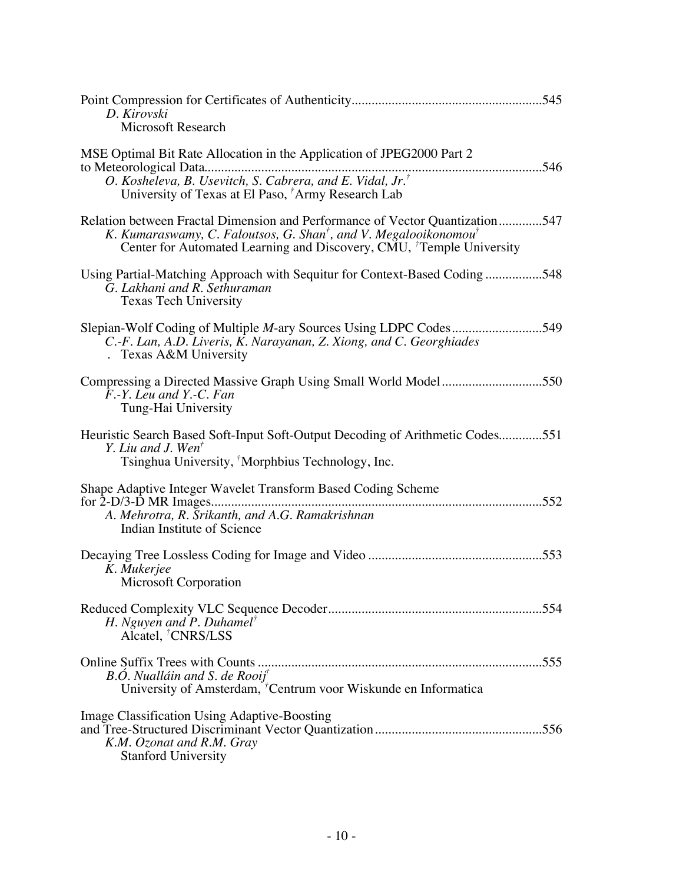| D. Kirovski<br><b>Microsoft Research</b>                                                                                                                                                                                                        |
|-------------------------------------------------------------------------------------------------------------------------------------------------------------------------------------------------------------------------------------------------|
| MSE Optimal Bit Rate Allocation in the Application of JPEG2000 Part 2<br>O. Kosheleva, B. Usevitch, S. Cabrera, and E. Vidal, Jr. <sup>†</sup><br>University of Texas at El Paso, <sup>7</sup> Army Research Lab                                |
| Relation between Fractal Dimension and Performance of Vector Quantization547<br>K. Kumaraswamy, C. Faloutsos, G. Shan <sup>†</sup> , and V. Megalooikonomou <sup>†</sup><br>Center for Automated Learning and Discovery, CMU, Temple University |
| Using Partial-Matching Approach with Sequitur for Context-Based Coding548<br>G. Lakhani and R. Sethuraman<br><b>Texas Tech University</b>                                                                                                       |
| Slepian-Wolf Coding of Multiple <i>M</i> -ary Sources Using LDPC Codes549<br>C.-F. Lan, A.D. Liveris, K. Narayanan, Z. Xiong, and C. Georghiades<br>. Texas A&M University                                                                      |
| Compressing a Directed Massive Graph Using Small World Model550<br>F.-Y. Leu and Y.-C. Fan<br>Tung-Hai University                                                                                                                               |
| Heuristic Search Based Soft-Input Soft-Output Decoding of Arithmetic Codes551<br>Y. Liu and J. Wen <sup><math>\bar{r}</math></sup><br>Tsinghua University, Morphbius Technology, Inc.                                                           |
| Shape Adaptive Integer Wavelet Transform Based Coding Scheme<br>A. Mehrotra, R. Srikanth, and A.G. Ramakrishnan<br>Indian Institute of Science                                                                                                  |
| K. Mukerjee<br>Microsoft Corporation                                                                                                                                                                                                            |
| H. Nguyen and P. Duhamel <sup>†</sup><br>Alcatel, <sup>†</sup> CNRS/LSS                                                                                                                                                                         |
| B.Ó. Nualláin and S. de Rooij <sup>†</sup><br>University of Amsterdam, <sup>†</sup> Centrum voor Wiskunde en Informatica                                                                                                                        |
| <b>Image Classification Using Adaptive-Boosting</b><br>K.M. Ozonat and R.M. Gray<br><b>Stanford University</b>                                                                                                                                  |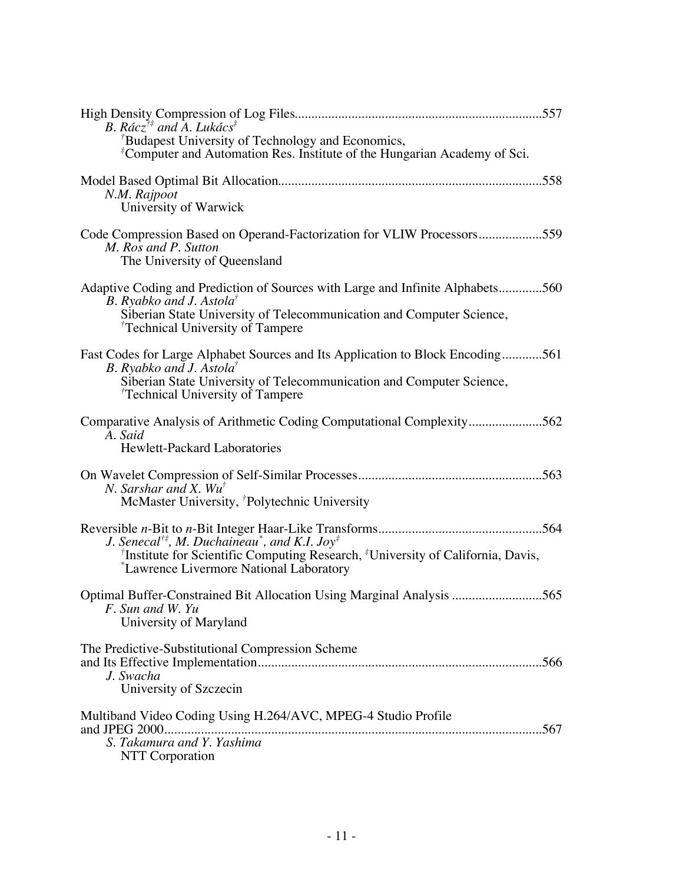| B. Rácz <sup>†‡</sup> and A. Lukács <sup>‡</sup><br><sup>†</sup> Budapest University of Technology and Economics,<br><sup><i>E</i></sup> Computer and Automation Res. Institute of the Hungarian Academy of Sci.                               |
|------------------------------------------------------------------------------------------------------------------------------------------------------------------------------------------------------------------------------------------------|
| N.M. Rajpoot<br>University of Warwick                                                                                                                                                                                                          |
| Code Compression Based on Operand-Factorization for VLIW Processors559<br>M. Ros and P. Sutton<br>The University of Queensland                                                                                                                 |
| Adaptive Coding and Prediction of Sources with Large and Infinite Alphabets560<br>B. Ryabko and J. Astola <sup>†</sup><br>Siberian State University of Telecommunication and Computer Science,<br><sup>†</sup> Technical University of Tampere |
| Fast Codes for Large Alphabet Sources and Its Application to Block Encoding561<br>B. Ryabko and J. Astola <sup>†</sup><br>Siberian State University of Telecommunication and Computer Science,<br><sup>†</sup> Technical University of Tampere |
| Comparative Analysis of Arithmetic Coding Computational Complexity562<br>A. Said<br>Hewlett-Packard Laboratories                                                                                                                               |
| N. Sarshar and X. $Wu^{\dagger}$<br>McMaster University, <sup><i>†</i></sup> Polytechnic University                                                                                                                                            |
| J. Senecal <sup>†‡</sup> , M. Duchaineau <sup>*</sup> , and K.I. Joy <sup>‡</sup><br><sup>†</sup> Institute for Scientific Computing Research, <sup>‡</sup> University of California, Davis,<br>*Lawrence Livermore National Laboratory        |
| Optimal Buffer-Constrained Bit Allocation Using Marginal Analysis 565<br>F. Sun and W. Yu<br>University of Maryland                                                                                                                            |
| The Predictive-Substitutional Compression Scheme<br>J. Swacha<br>University of Szczecin                                                                                                                                                        |
| Multiband Video Coding Using H.264/AVC, MPEG-4 Studio Profile<br>S. Takamura and Y. Yashima<br><b>NTT</b> Corporation                                                                                                                          |